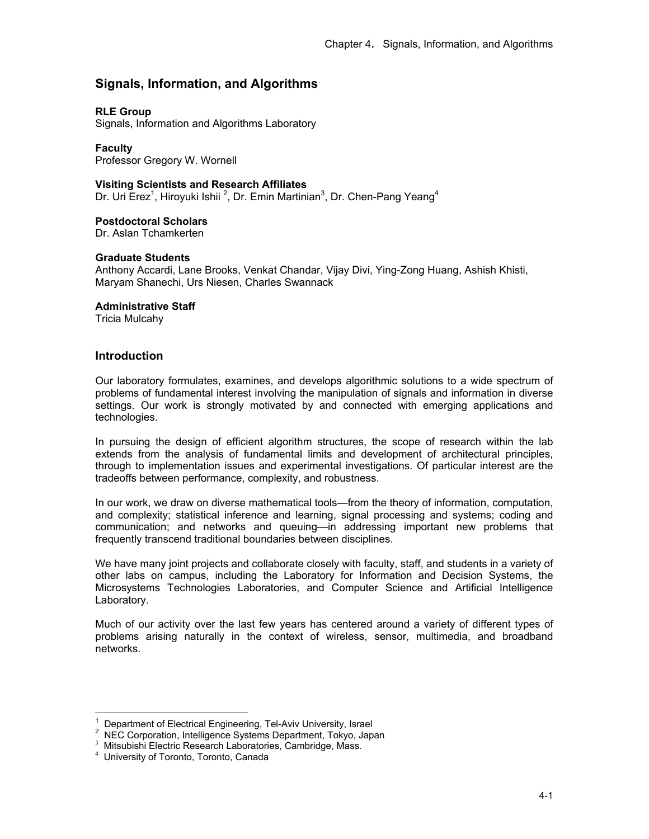# **Signals, Information, and Algorithms**

## **RLE Group**

Signals, Information and Algorithms Laboratory

**Faculty**  Professor Gregory W. Wornell

### **Visiting Scientists and Research Affiliates**

Dr. Uri Erez<sup>1</sup>, Hiroyuki Ishii<sup>2</sup>, Dr. Emin Martinian<sup>3</sup>, Dr. Chen-Pang Yeang<sup>4</sup>

### **Postdoctoral Scholars**

Dr. Aslan Tchamkerten

### **Graduate Students**

Anthony Accardi, Lane Brooks, Venkat Chandar, Vijay Divi, Ying-Zong Huang, Ashish Khisti, Maryam Shanechi, Urs Niesen, Charles Swannack

### **Administrative Staff**

Tricia Mulcahy

## **Introduction**

Our laboratory formulates, examines, and develops algorithmic solutions to a wide spectrum of problems of fundamental interest involving the manipulation of signals and information in diverse settings. Our work is strongly motivated by and connected with emerging applications and technologies.

In pursuing the design of efficient algorithm structures, the scope of research within the lab extends from the analysis of fundamental limits and development of architectural principles, through to implementation issues and experimental investigations. Of particular interest are the tradeoffs between performance, complexity, and robustness.

In our work, we draw on diverse mathematical tools—from the theory of information, computation, and complexity; statistical inference and learning, signal processing and systems; coding and communication; and networks and queuing—in addressing important new problems that frequently transcend traditional boundaries between disciplines.

We have many joint projects and collaborate closely with faculty, staff, and students in a variety of other labs on campus, including the Laboratory for Information and Decision Systems, the Microsystems Technologies Laboratories, and Computer Science and Artificial Intelligence Laboratory.

Much of our activity over the last few years has centered around a variety of different types of problems arising naturally in the context of wireless, sensor, multimedia, and broadband networks.

 $\overline{a}$ 

<sup>1</sup> Department of Electrical Engineering, Tel-Aviv University, Israel

<sup>2</sup> NEC Corporation, Intelligence Systems Department, Tokyo, Japan

<sup>3</sup> Mitsubishi Electric Research Laboratories, Cambridge, Mass.

<sup>4</sup> University of Toronto, Toronto, Canada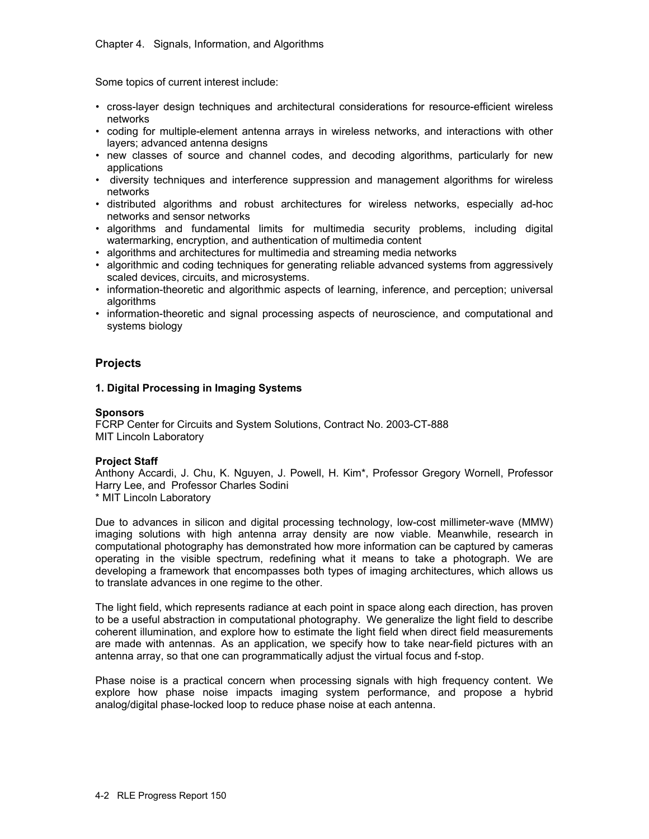Some topics of current interest include:

- cross-layer design techniques and architectural considerations for resource-efficient wireless networks
- coding for multiple-element antenna arrays in wireless networks, and interactions with other layers; advanced antenna designs
- new classes of source and channel codes, and decoding algorithms, particularly for new applications
- diversity techniques and interference suppression and management algorithms for wireless networks
- distributed algorithms and robust architectures for wireless networks, especially ad-hoc networks and sensor networks
- algorithms and fundamental limits for multimedia security problems, including digital watermarking, encryption, and authentication of multimedia content
- algorithms and architectures for multimedia and streaming media networks
- algorithmic and coding techniques for generating reliable advanced systems from aggressively scaled devices, circuits, and microsystems.
- information-theoretic and algorithmic aspects of learning, inference, and perception; universal algorithms
- information-theoretic and signal processing aspects of neuroscience, and computational and systems biology

# **Projects**

## **1. Digital Processing in Imaging Systems**

## **Sponsors**

FCRP Center for Circuits and System Solutions, Contract No. 2003-CT-888 MIT Lincoln Laboratory

## **Project Staff**

Anthony Accardi, J. Chu, K. Nguyen, J. Powell, H. Kim\*, Professor Gregory Wornell, Professor Harry Lee, and Professor Charles Sodini

\* MIT Lincoln Laboratory

Due to advances in silicon and digital processing technology, low-cost millimeter-wave (MMW) imaging solutions with high antenna array density are now viable. Meanwhile, research in computational photography has demonstrated how more information can be captured by cameras operating in the visible spectrum, redefining what it means to take a photograph. We are developing a framework that encompasses both types of imaging architectures, which allows us to translate advances in one regime to the other.

The light field, which represents radiance at each point in space along each direction, has proven to be a useful abstraction in computational photography. We generalize the light field to describe coherent illumination, and explore how to estimate the light field when direct field measurements are made with antennas. As an application, we specify how to take near-field pictures with an antenna array, so that one can programmatically adjust the virtual focus and f-stop.

Phase noise is a practical concern when processing signals with high frequency content. We explore how phase noise impacts imaging system performance, and propose a hybrid analog/digital phase-locked loop to reduce phase noise at each antenna.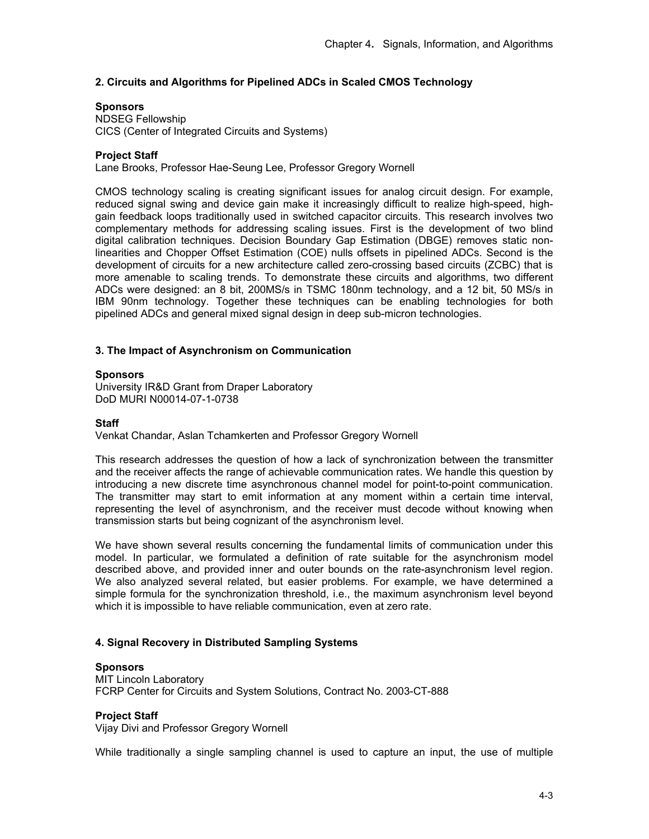## **2. Circuits and Algorithms for Pipelined ADCs in Scaled CMOS Technology**

### **Sponsors**

NDSEG Fellowship CICS (Center of Integrated Circuits and Systems)

### **Project Staff**

Lane Brooks, Professor Hae-Seung Lee, Professor Gregory Wornell

CMOS technology scaling is creating significant issues for analog circuit design. For example, reduced signal swing and device gain make it increasingly difficult to realize high-speed, highgain feedback loops traditionally used in switched capacitor circuits. This research involves two complementary methods for addressing scaling issues. First is the development of two blind digital calibration techniques. Decision Boundary Gap Estimation (DBGE) removes static nonlinearities and Chopper Offset Estimation (COE) nulls offsets in pipelined ADCs. Second is the development of circuits for a new architecture called zero-crossing based circuits (ZCBC) that is more amenable to scaling trends. To demonstrate these circuits and algorithms, two different ADCs were designed: an 8 bit, 200MS/s in TSMC 180nm technology, and a 12 bit, 50 MS/s in IBM 90nm technology. Together these techniques can be enabling technologies for both pipelined ADCs and general mixed signal design in deep sub-micron technologies.

### **3. The Impact of Asynchronism on Communication**

#### **Sponsors**

University IR&D Grant from Draper Laboratory DoD MURI N00014-07-1-0738

### **Staff**

Venkat Chandar, Aslan Tchamkerten and Professor Gregory Wornell

This research addresses the question of how a lack of synchronization between the transmitter and the receiver affects the range of achievable communication rates. We handle this question by introducing a new discrete time asynchronous channel model for point-to-point communication. The transmitter may start to emit information at any moment within a certain time interval, representing the level of asynchronism, and the receiver must decode without knowing when transmission starts but being cognizant of the asynchronism level.

We have shown several results concerning the fundamental limits of communication under this model. In particular, we formulated a definition of rate suitable for the asynchronism model described above, and provided inner and outer bounds on the rate-asynchronism level region. We also analyzed several related, but easier problems. For example, we have determined a simple formula for the synchronization threshold, i.e., the maximum asynchronism level beyond which it is impossible to have reliable communication, even at zero rate.

### **4. Signal Recovery in Distributed Sampling Systems**

#### **Sponsors**

MIT Lincoln Laboratory FCRP Center for Circuits and System Solutions, Contract No. 2003-CT-888

### **Project Staff**

Vijay Divi and Professor Gregory Wornell

While traditionally a single sampling channel is used to capture an input, the use of multiple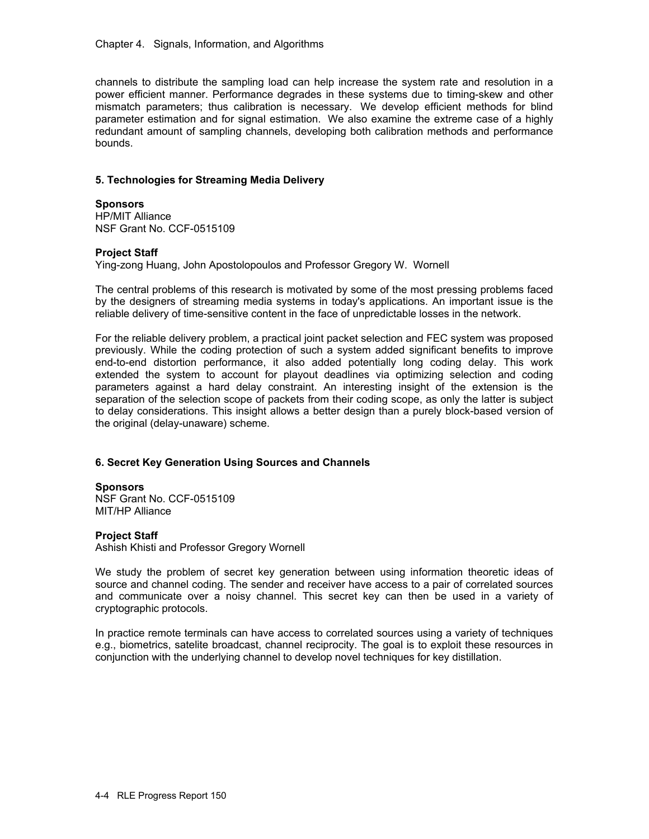channels to distribute the sampling load can help increase the system rate and resolution in a power efficient manner. Performance degrades in these systems due to timing-skew and other mismatch parameters; thus calibration is necessary. We develop efficient methods for blind parameter estimation and for signal estimation. We also examine the extreme case of a highly redundant amount of sampling channels, developing both calibration methods and performance bounds.

## **5. Technologies for Streaming Media Delivery**

### **Sponsors**

HP/MIT Alliance NSF Grant No. CCF-0515109

## **Project Staff**

Ying-zong Huang, John Apostolopoulos and Professor Gregory W. Wornell

The central problems of this research is motivated by some of the most pressing problems faced by the designers of streaming media systems in today's applications. An important issue is the reliable delivery of time-sensitive content in the face of unpredictable losses in the network.

For the reliable delivery problem, a practical joint packet selection and FEC system was proposed previously. While the coding protection of such a system added significant benefits to improve end-to-end distortion performance, it also added potentially long coding delay. This work extended the system to account for playout deadlines via optimizing selection and coding parameters against a hard delay constraint. An interesting insight of the extension is the separation of the selection scope of packets from their coding scope, as only the latter is subject to delay considerations. This insight allows a better design than a purely block-based version of the original (delay-unaware) scheme.

## **6. Secret Key Generation Using Sources and Channels**

### **Sponsors**

NSF Grant No. CCF-0515109 MIT/HP Alliance

### **Project Staff**

Ashish Khisti and Professor Gregory Wornell

We study the problem of secret key generation between using information theoretic ideas of source and channel coding. The sender and receiver have access to a pair of correlated sources and communicate over a noisy channel. This secret key can then be used in a variety of cryptographic protocols.

In practice remote terminals can have access to correlated sources using a variety of techniques e.g., biometrics, satelite broadcast, channel reciprocity. The goal is to exploit these resources in conjunction with the underlying channel to develop novel techniques for key distillation.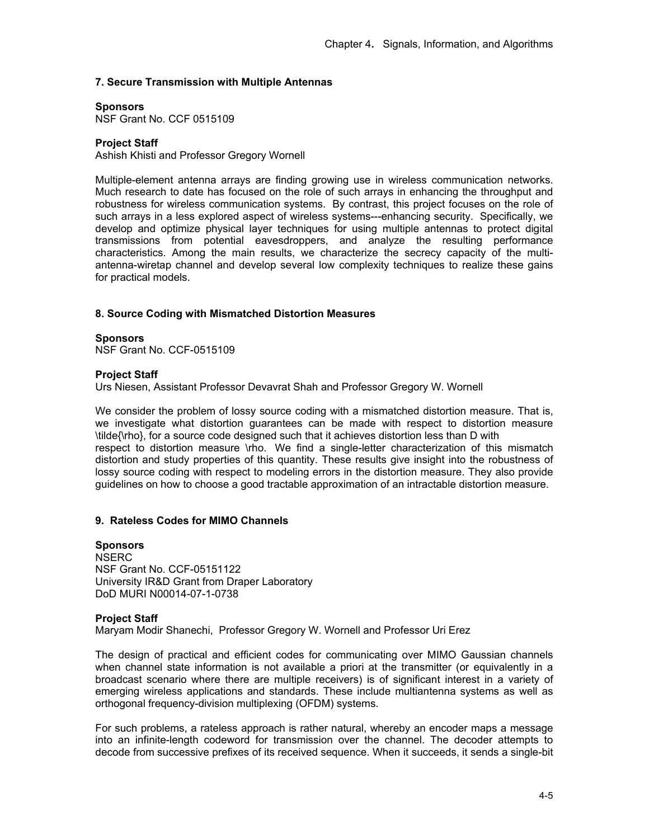# **7. Secure Transmission with Multiple Antennas**

#### **Sponsors**

NSF Grant No. CCF 0515109

### **Project Staff**

Ashish Khisti and Professor Gregory Wornell

Multiple-element antenna arrays are finding growing use in wireless communication networks. Much research to date has focused on the role of such arrays in enhancing the throughput and robustness for wireless communication systems. By contrast, this project focuses on the role of such arrays in a less explored aspect of wireless systems---enhancing security. Specifically, we develop and optimize physical layer techniques for using multiple antennas to protect digital transmissions from potential eavesdroppers, and analyze the resulting performance characteristics. Among the main results, we characterize the secrecy capacity of the multiantenna-wiretap channel and develop several low complexity techniques to realize these gains for practical models.

#### **8. Source Coding with Mismatched Distortion Measures**

**Sponsors**  NSF Grant No. CCF-0515109

#### **Project Staff**

Urs Niesen, Assistant Professor Devavrat Shah and Professor Gregory W. Wornell

We consider the problem of lossy source coding with a mismatched distortion measure. That is, we investigate what distortion guarantees can be made with respect to distortion measure \tilde{\rho}, for a source code designed such that it achieves distortion less than D with respect to distortion measure \rho. We find a single-letter characterization of this mismatch distortion and study properties of this quantity. These results give insight into the robustness of lossy source coding with respect to modeling errors in the distortion measure. They also provide guidelines on how to choose a good tractable approximation of an intractable distortion measure.

### **9. Rateless Codes for MIMO Channels**

**Sponsors NSERC** NSF Grant No. CCF-05151122 University IR&D Grant from Draper Laboratory DoD MURI N00014-07-1-0738

#### **Project Staff**

Maryam Modir Shanechi, Professor Gregory W. Wornell and Professor Uri Erez

The design of practical and efficient codes for communicating over MIMO Gaussian channels when channel state information is not available a priori at the transmitter (or equivalently in a broadcast scenario where there are multiple receivers) is of significant interest in a variety of emerging wireless applications and standards. These include multiantenna systems as well as orthogonal frequency-division multiplexing (OFDM) systems.

For such problems, a rateless approach is rather natural, whereby an encoder maps a message into an infinite-length codeword for transmission over the channel. The decoder attempts to decode from successive prefixes of its received sequence. When it succeeds, it sends a single-bit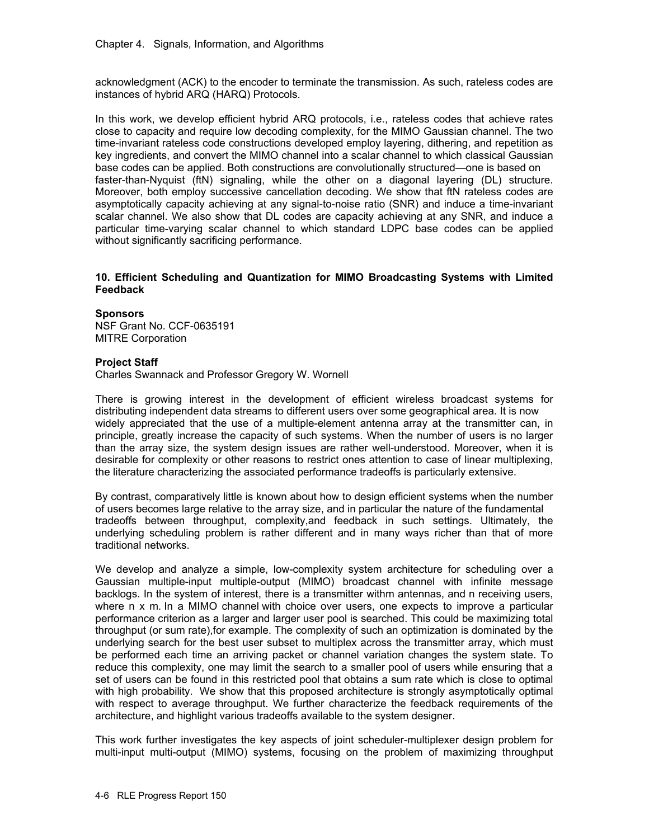acknowledgment (ACK) to the encoder to terminate the transmission. As such, rateless codes are instances of hybrid ARQ (HARQ) Protocols.

In this work, we develop efficient hybrid ARQ protocols, i.e., rateless codes that achieve rates close to capacity and require low decoding complexity, for the MIMO Gaussian channel. The two time-invariant rateless code constructions developed employ layering, dithering, and repetition as key ingredients, and convert the MIMO channel into a scalar channel to which classical Gaussian base codes can be applied. Both constructions are convolutionally structured—one is based on faster-than-Nyquist (ftN) signaling, while the other on a diagonal layering (DL) structure. Moreover, both employ successive cancellation decoding. We show that ftN rateless codes are asymptotically capacity achieving at any signal-to-noise ratio (SNR) and induce a time-invariant scalar channel. We also show that DL codes are capacity achieving at any SNR, and induce a particular time-varying scalar channel to which standard LDPC base codes can be applied without significantly sacrificing performance.

### **10. Efficient Scheduling and Quantization for MIMO Broadcasting Systems with Limited Feedback**

**Sponsors**  NSF Grant No. CCF-0635191 MITRE Corporation

#### **Project Staff**

Charles Swannack and Professor Gregory W. Wornell

There is growing interest in the development of efficient wireless broadcast systems for distributing independent data streams to different users over some geographical area. It is now widely appreciated that the use of a multiple-element antenna array at the transmitter can, in principle, greatly increase the capacity of such systems. When the number of users is no larger than the array size, the system design issues are rather well-understood. Moreover, when it is desirable for complexity or other reasons to restrict ones attention to case of linear multiplexing, the literature characterizing the associated performance tradeoffs is particularly extensive.

By contrast, comparatively little is known about how to design efficient systems when the number of users becomes large relative to the array size, and in particular the nature of the fundamental tradeoffs between throughput, complexity,and feedback in such settings. Ultimately, the underlying scheduling problem is rather different and in many ways richer than that of more traditional networks.

We develop and analyze a simple, low-complexity system architecture for scheduling over a Gaussian multiple-input multiple-output (MIMO) broadcast channel with infinite message backlogs. In the system of interest, there is a transmitter withm antennas, and n receiving users, where n x m. In a MIMO channel with choice over users, one expects to improve a particular performance criterion as a larger and larger user pool is searched. This could be maximizing total throughput (or sum rate),for example. The complexity of such an optimization is dominated by the underlying search for the best user subset to multiplex across the transmitter array, which must be performed each time an arriving packet or channel variation changes the system state. To reduce this complexity, one may limit the search to a smaller pool of users while ensuring that a set of users can be found in this restricted pool that obtains a sum rate which is close to optimal with high probability. We show that this proposed architecture is strongly asymptotically optimal with respect to average throughput. We further characterize the feedback requirements of the architecture, and highlight various tradeoffs available to the system designer.

This work further investigates the key aspects of joint scheduler-multiplexer design problem for multi-input multi-output (MIMO) systems, focusing on the problem of maximizing throughput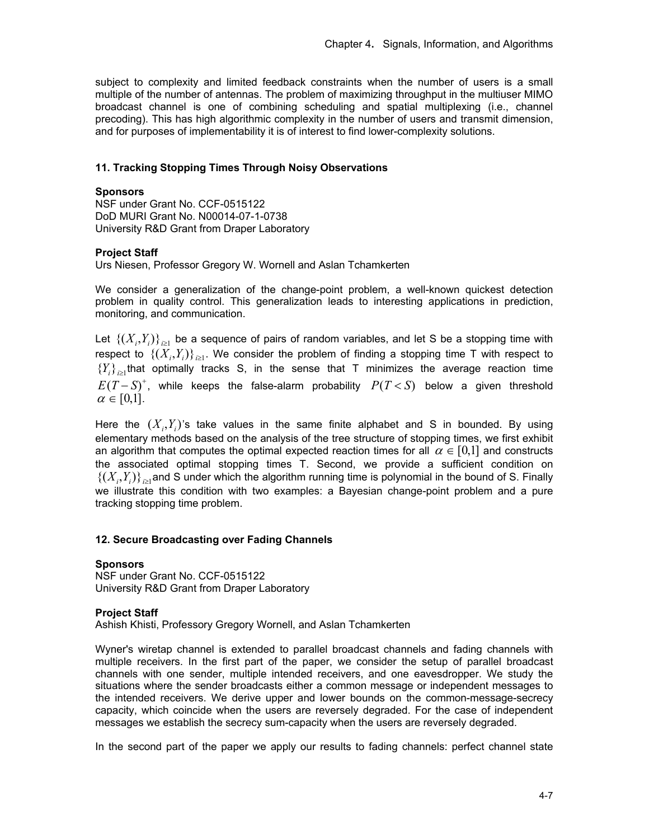subject to complexity and limited feedback constraints when the number of users is a small multiple of the number of antennas. The problem of maximizing throughput in the multiuser MIMO broadcast channel is one of combining scheduling and spatial multiplexing (i.e., channel precoding). This has high algorithmic complexity in the number of users and transmit dimension, and for purposes of implementability it is of interest to find lower-complexity solutions.

### **11. Tracking Stopping Times Through Noisy Observations**

### **Sponsors**

NSF under Grant No. CCF-0515122 DoD MURI Grant No. N00014-07-1-0738 University R&D Grant from Draper Laboratory

#### **Project Staff**

Urs Niesen, Professor Gregory W. Wornell and Aslan Tchamkerten

We consider a generalization of the change-point problem, a well-known quickest detection problem in quality control. This generalization leads to interesting applications in prediction, monitoring, and communication.

Let  $\{(X_i, Y_i)\}_{i \geq 1}$  be a sequence of pairs of random variables, and let S be a stopping time with respect to  $\{(X_i, Y_i)\}_{i \geq 1}$ . We consider the problem of finding a stopping time T with respect to  ${Y_i}_{i\geq 1}$  that optimally tracks S, in the sense that T minimizes the average reaction time  $E(T-S)^+$ , while keeps the false-alarm probability  $P(T below a given threshold$  $\alpha \in [0,1]$ .

Here the  $(X_i, Y_i)$ 's take values in the same finite alphabet and S in bounded. By using elementary methods based on the analysis of the tree structure of stopping times, we first exhibit an algorithm that computes the optimal expected reaction times for all  $\alpha \in [0,1]$  and constructs the associated optimal stopping times T. Second, we provide a sufficient condition on  $\{(X_i,Y_i)\}_{i\geq 1}$  and S under which the algorithm running time is polynomial in the bound of S. Finally we illustrate this condition with two examples: a Bayesian change-point problem and a pure tracking stopping time problem.

### **12. Secure Broadcasting over Fading Channels**

#### **Sponsors**

NSF under Grant No. CCF-0515122 University R&D Grant from Draper Laboratory

#### **Project Staff**

Ashish Khisti, Professory Gregory Wornell, and Aslan Tchamkerten

Wyner's wiretap channel is extended to parallel broadcast channels and fading channels with multiple receivers. In the first part of the paper, we consider the setup of parallel broadcast channels with one sender, multiple intended receivers, and one eavesdropper. We study the situations where the sender broadcasts either a common message or independent messages to the intended receivers. We derive upper and lower bounds on the common-message-secrecy capacity, which coincide when the users are reversely degraded. For the case of independent messages we establish the secrecy sum-capacity when the users are reversely degraded.

In the second part of the paper we apply our results to fading channels: perfect channel state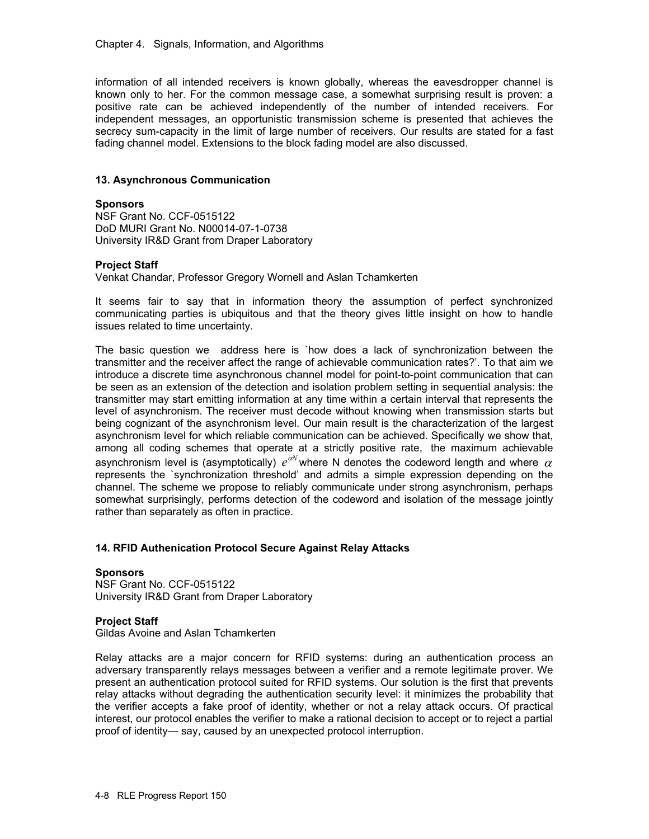information of all intended receivers is known globally, whereas the eavesdropper channel is known only to her. For the common message case, a somewhat surprising result is proven: a positive rate can be achieved independently of the number of intended receivers. For independent messages, an opportunistic transmission scheme is presented that achieves the secrecy sum-capacity in the limit of large number of receivers. Our results are stated for a fast fading channel model. Extensions to the block fading model are also discussed.

### **13. Asynchronous Communication**

### **Sponsors**

NSF Grant No. CCF-0515122 DoD MURI Grant No. N00014-07-1-0738 University IR&D Grant from Draper Laboratory

### **Project Staff**

Venkat Chandar, Professor Gregory Wornell and Aslan Tchamkerten

It seems fair to say that in information theory the assumption of perfect synchronized communicating parties is ubiquitous and that the theory gives little insight on how to handle issues related to time uncertainty.

The basic question we address here is `how does a lack of synchronization between the transmitter and the receiver affect the range of achievable communication rates?'. To that aim we introduce a discrete time asynchronous channel model for point-to-point communication that can be seen as an extension of the detection and isolation problem setting in sequential analysis: the transmitter may start emitting information at any time within a certain interval that represents the level of asynchronism. The receiver must decode without knowing when transmission starts but being cognizant of the asynchronism level. Our main result is the characterization of the largest asynchronism level for which reliable communication can be achieved. Specifically we show that, among all coding schemes that operate at a strictly positive rate, the maximum achievable asynchronism level is (asymptotically)  $e^{\alpha N}$  where N denotes the codeword length and where  $\alpha$ represents the `synchronization threshold' and admits a simple expression depending on the channel. The scheme we propose to reliably communicate under strong asynchronism, perhaps somewhat surprisingly, performs detection of the codeword and isolation of the message jointly rather than separately as often in practice.

### **14. RFID Authenication Protocol Secure Against Relay Attacks**

#### **Sponsors**

NSF Grant No. CCF-0515122 University IR&D Grant from Draper Laboratory

### **Project Staff**

Gildas Avoine and Aslan Tchamkerten

Relay attacks are a major concern for RFID systems: during an authentication process an adversary transparently relays messages between a verifier and a remote legitimate prover. We present an authentication protocol suited for RFID systems. Our solution is the first that prevents relay attacks without degrading the authentication security level: it minimizes the probability that the verifier accepts a fake proof of identity, whether or not a relay attack occurs. Of practical interest, our protocol enables the verifier to make a rational decision to accept or to reject a partial proof of identity— say, caused by an unexpected protocol interruption.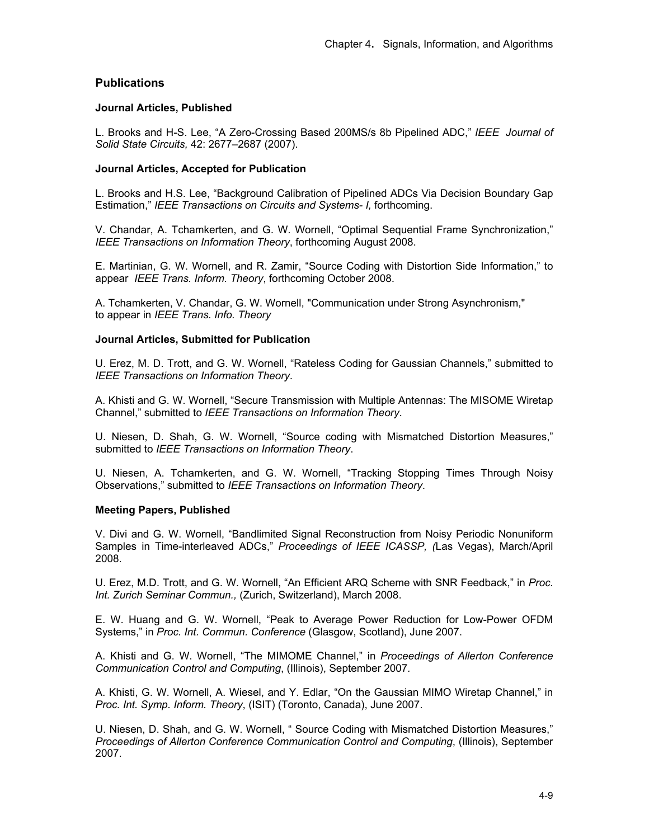# **Publications**

### **Journal Articles, Published**

L. Brooks and H-S. Lee, "A Zero-Crossing Based 200MS/s 8b Pipelined ADC," *IEEE Journal of Solid State Circuits,* 42: 2677–2687 (2007).

#### **Journal Articles, Accepted for Publication**

L. Brooks and H.S. Lee, "Background Calibration of Pipelined ADCs Via Decision Boundary Gap Estimation," *IEEE Transactions on Circuits and Systems- I,* forthcoming.

V. Chandar, A. Tchamkerten, and G. W. Wornell, "Optimal Sequential Frame Synchronization," *IEEE Transactions on Information Theory*, forthcoming August 2008.

E. Martinian, G. W. Wornell, and R. Zamir, "Source Coding with Distortion Side Information," to appear *IEEE Trans. Inform. Theory*, forthcoming October 2008.

A. Tchamkerten, V. Chandar, G. W. Wornell, "Communication under Strong Asynchronism," to appear in *IEEE Trans. Info. Theory* 

#### **Journal Articles, Submitted for Publication**

U. Erez, M. D. Trott, and G. W. Wornell, "Rateless Coding for Gaussian Channels," submitted to *IEEE Transactions on Information Theory*.

A. Khisti and G. W. Wornell, "Secure Transmission with Multiple Antennas: The MISOME Wiretap Channel," submitted to *IEEE Transactions on Information Theory*.

U. Niesen, D. Shah, G. W. Wornell, "Source coding with Mismatched Distortion Measures," submitted to *IEEE Transactions on Information Theory*.

U. Niesen, A. Tchamkerten, and G. W. Wornell, "Tracking Stopping Times Through Noisy Observations," submitted to *IEEE Transactions on Information Theory*.

### **Meeting Papers, Published**

V. Divi and G. W. Wornell, "Bandlimited Signal Reconstruction from Noisy Periodic Nonuniform Samples in Time-interleaved ADCs," *Proceedings of IEEE ICASSP, (*Las Vegas), March/April 2008.

U. Erez, M.D. Trott, and G. W. Wornell, "An Efficient ARQ Scheme with SNR Feedback," in *Proc. Int. Zurich Seminar Commun.,* (Zurich, Switzerland), March 2008.

E. W. Huang and G. W. Wornell, "Peak to Average Power Reduction for Low-Power OFDM Systems," in *Proc. Int. Commun. Conference* (Glasgow, Scotland), June 2007.

A. Khisti and G. W. Wornell, "The MIMOME Channel," in *Proceedings of Allerton Conference Communication Control and Computing*, (Illinois), September 2007*.* 

A. Khisti, G. W. Wornell, A. Wiesel, and Y. Edlar, "On the Gaussian MIMO Wiretap Channel," in *Proc. Int. Symp. Inform. Theory*, (ISIT) (Toronto, Canada), June 2007.

U. Niesen, D. Shah, and G. W. Wornell, " Source Coding with Mismatched Distortion Measures," *Proceedings of Allerton Conference Communication Control and Computing*, (Illinois), September 2007.